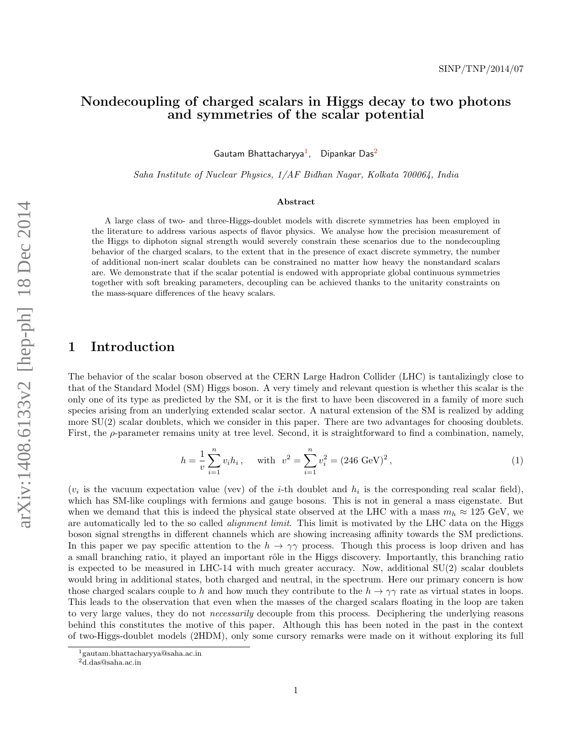# Nondecoupling of charged scalars in Higgs decay to two photons and symmetries of the scalar potential

Gautam Bhattacharyya<sup>1</sup>, Dipankar Das<sup>2</sup>

Saha Institute of Nuclear Physics, 1/AF Bidhan Nagar, Kolkata 700064, India

#### Abstract

A large class of two- and three-Higgs-doublet models with discrete symmetries has been employed in the literature to address various aspects of flavor physics. We analyse how the precision measurement of the Higgs to diphoton signal strength would severely constrain these scenarios due to the nondecoupling behavior of the charged scalars, to the extent that in the presence of exact discrete symmetry, the number of additional non-inert scalar doublets can be constrained no matter how heavy the nonstandard scalars are. We demonstrate that if the scalar potential is endowed with appropriate global continuous symmetries together with soft breaking parameters, decoupling can be achieved thanks to the unitarity constraints on the mass-square differences of the heavy scalars.

# 1 Introduction

The behavior of the scalar boson observed at the CERN Large Hadron Collider (LHC) is tantalizingly close to that of the Standard Model (SM) Higgs boson. A very timely and relevant question is whether this scalar is the only one of its type as predicted by the SM, or it is the first to have been discovered in a family of more such species arising from an underlying extended scalar sector. A natural extension of the SM is realized by adding more SU(2) scalar doublets, which we consider in this paper. There are two advantages for choosing doublets. First, the  $\rho$ -parameter remains unity at tree level. Second, it is straightforward to find a combination, namely,

$$
h = \frac{1}{v} \sum_{i=1}^{n} v_i h_i, \quad \text{with} \quad v^2 = \sum_{i=1}^{n} v_i^2 = (246 \text{ GeV})^2,
$$
\n<sup>(1)</sup>

 $(v_i$  is the vacuum expectation value (vev) of the *i*-th doublet and  $h_i$  is the corresponding real scalar field), which has SM-like couplings with fermions and gauge bosons. This is not in general a mass eigenstate. But when we demand that this is indeed the physical state observed at the LHC with a mass  $m_h \approx 125$  GeV, we are automatically led to the so called *alignment limit*. This limit is motivated by the LHC data on the Higgs boson signal strengths in different channels which are showing increasing affinity towards the SM predictions. In this paper we pay specific attention to the  $h \to \gamma\gamma$  process. Though this process is loop driven and has a small branching ratio, it played an important rôle in the Higgs discovery. Importantly, this branching ratio is expected to be measured in LHC-14 with much greater accuracy. Now, additional SU(2) scalar doublets would bring in additional states, both charged and neutral, in the spectrum. Here our primary concern is how those charged scalars couple to h and how much they contribute to the  $h \to \gamma\gamma$  rate as virtual states in loops. This leads to the observation that even when the masses of the charged scalars floating in the loop are taken to very large values, they do not *necessarily* decouple from this process. Deciphering the underlying reasons behind this constitutes the motive of this paper. Although this has been noted in the past in the context of two-Higgs-doublet models (2HDM), only some cursory remarks were made on it without exploring its full

<sup>1</sup>gautam.bhattacharyya@saha.ac.in

 $2d.$ das@saha.ac.in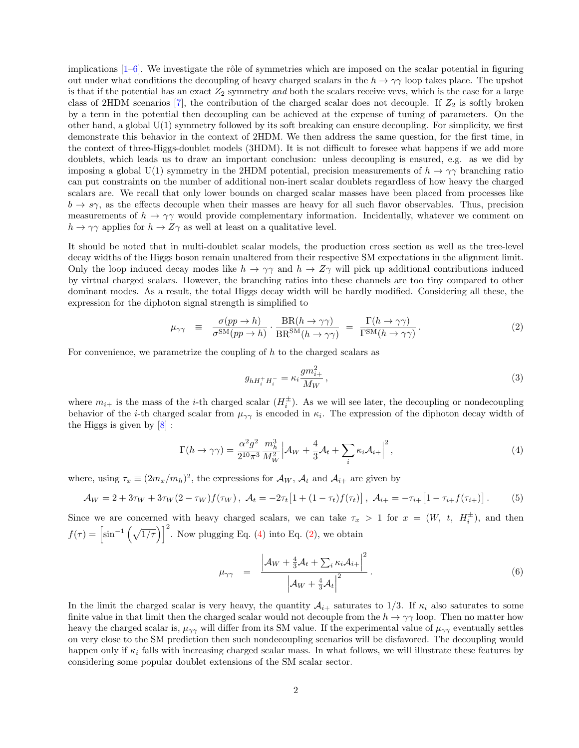implications  $[1-6]$ . We investigate the rôle of symmetries which are imposed on the scalar potential in figuring out under what conditions the decoupling of heavy charged scalars in the  $h \to \gamma\gamma$  loop takes place. The upshot is that if the potential has an exact  $Z_2$  symmetry and both the scalars receive vevs, which is the case for a large class of 2HDM scenarios [7], the contribution of the charged scalar does not decouple. If  $Z_2$  is softly broken by a term in the potential then decoupling can be achieved at the expense of tuning of parameters. On the other hand, a global U(1) symmetry followed by its soft breaking can ensure decoupling. For simplicity, we first demonstrate this behavior in the context of 2HDM. We then address the same question, for the first time, in the context of three-Higgs-doublet models (3HDM). It is not difficult to foresee what happens if we add more doublets, which leads us to draw an important conclusion: unless decoupling is ensured, e.g. as we did by imposing a global U(1) symmetry in the 2HDM potential, precision measurements of  $h \to \gamma\gamma$  branching ratio can put constraints on the number of additional non-inert scalar doublets regardless of how heavy the charged scalars are. We recall that only lower bounds on charged scalar masses have been placed from processes like  $b \rightarrow s\gamma$ , as the effects decouple when their masses are heavy for all such flavor observables. Thus, precision measurements of  $h \to \gamma\gamma$  would provide complementary information. Incidentally, whatever we comment on  $h \to \gamma\gamma$  applies for  $h \to Z\gamma$  as well at least on a qualitative level.

It should be noted that in multi-doublet scalar models, the production cross section as well as the tree-level decay widths of the Higgs boson remain unaltered from their respective SM expectations in the alignment limit. Only the loop induced decay modes like  $h \to \gamma\gamma$  and  $h \to Z\gamma$  will pick up additional contributions induced by virtual charged scalars. However, the branching ratios into these channels are too tiny compared to other dominant modes. As a result, the total Higgs decay width will be hardly modified. Considering all these, the expression for the diphoton signal strength is simplified to

$$
\mu_{\gamma\gamma} \equiv \frac{\sigma(pp \to h)}{\sigma^{\text{SM}}(pp \to h)} \cdot \frac{\text{BR}(h \to \gamma\gamma)}{\text{BR}^{\text{SM}}(h \to \gamma\gamma)} = \frac{\Gamma(h \to \gamma\gamma)}{\Gamma^{\text{SM}}(h \to \gamma\gamma)}.
$$
\n(2)

For convenience, we parametrize the coupling of  $h$  to the charged scalars as

$$
g_{hH_i^+H_i^-} = \kappa_i \frac{gm_{i+}^2}{M_W} \,, \tag{3}
$$

where  $m_{i+}$  is the mass of the *i*-th charged scalar  $(H_i^{\pm})$ . As we will see later, the decoupling or nondecoupling behavior of the *i*-th charged scalar from  $\mu_{\gamma\gamma}$  is encoded in  $\kappa_i$ . The expression of the diphoton decay width of the Higgs is given by [8] :

$$
\Gamma(h \to \gamma \gamma) = \frac{\alpha^2 g^2}{2^{10} \pi^3} \frac{m_h^3}{M_W^2} \Big| \mathcal{A}_W + \frac{4}{3} \mathcal{A}_t + \sum_i \kappa_i \mathcal{A}_{i+} \Big|^2, \tag{4}
$$

where, using  $\tau_x \equiv (2m_x/m_h)^2$ , the expressions for  $\mathcal{A}_W$ ,  $\mathcal{A}_t$  and  $\mathcal{A}_{i+}$  are given by

$$
\mathcal{A}_W = 2 + 3\tau_W + 3\tau_W(2 - \tau_W)f(\tau_W), \ \mathcal{A}_t = -2\tau_t[1 + (1 - \tau_t)f(\tau_t)], \ \mathcal{A}_{i+} = -\tau_{i+}[1 - \tau_{i+}f(\tau_{i+})]. \tag{5}
$$

Since we are concerned with heavy charged scalars, we can take  $\tau_x > 1$  for  $x = (W, t, H_i^{\pm})$ , and then  $f(\tau) = \left[\sin^{-1}\left(\sqrt{1/\tau}\right)\right]^2$ . Now plugging Eq. (4) into Eq. (2), we obtain

$$
\mu_{\gamma\gamma} = \frac{\left| \mathcal{A}_W + \frac{4}{3}\mathcal{A}_t + \sum_i \kappa_i \mathcal{A}_{i+} \right|^2}{\left| \mathcal{A}_W + \frac{4}{3}\mathcal{A}_t \right|^2}.
$$
\n(6)

In the limit the charged scalar is very heavy, the quantity  $A_{i+}$  saturates to 1/3. If  $\kappa_i$  also saturates to some finite value in that limit then the charged scalar would not decouple from the  $h \to \gamma\gamma$  loop. Then no matter how heavy the charged scalar is,  $\mu_{\gamma\gamma}$  will differ from its SM value. If the experimental value of  $\mu_{\gamma\gamma}$  eventually settles on very close to the SM prediction then such nondecoupling scenarios will be disfavored. The decoupling would happen only if  $\kappa_i$  falls with increasing charged scalar mass. In what follows, we will illustrate these features by considering some popular doublet extensions of the SM scalar sector.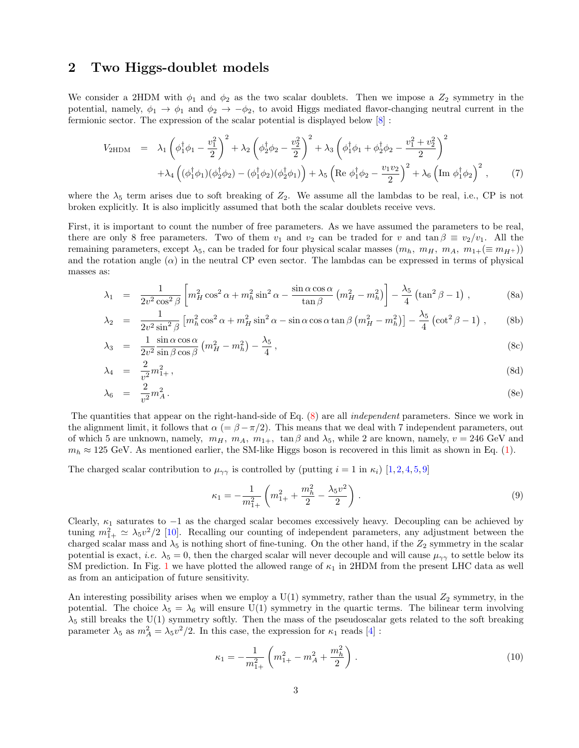### 2 Two Higgs-doublet models

We consider a 2HDM with  $\phi_1$  and  $\phi_2$  as the two scalar doublets. Then we impose a  $Z_2$  symmetry in the potential, namely,  $\phi_1 \to \phi_1$  and  $\phi_2 \to -\phi_2$ , to avoid Higgs mediated flavor-changing neutral current in the fermionic sector. The expression of the scalar potential is displayed below [8] :

$$
V_{2\text{HDM}} = \lambda_1 \left( \phi_1^{\dagger} \phi_1 - \frac{v_1^2}{2} \right)^2 + \lambda_2 \left( \phi_2^{\dagger} \phi_2 - \frac{v_2^2}{2} \right)^2 + \lambda_3 \left( \phi_1^{\dagger} \phi_1 + \phi_2^{\dagger} \phi_2 - \frac{v_1^2 + v_2^2}{2} \right)^2
$$
  
+  $\lambda_4 \left( (\phi_1^{\dagger} \phi_1)(\phi_2^{\dagger} \phi_2) - (\phi_1^{\dagger} \phi_2)(\phi_2^{\dagger} \phi_1) \right) + \lambda_5 \left( \text{Re } \phi_1^{\dagger} \phi_2 - \frac{v_1 v_2}{2} \right)^2 + \lambda_6 \left( \text{Im } \phi_1^{\dagger} \phi_2 \right)^2, \tag{7}$ 

where the  $\lambda_5$  term arises due to soft breaking of  $Z_2$ . We assume all the lambdas to be real, i.e., CP is not broken explicitly. It is also implicitly assumed that both the scalar doublets receive vevs.

First, it is important to count the number of free parameters. As we have assumed the parameters to be real, there are only 8 free parameters. Two of them  $v_1$  and  $v_2$  can be traded for v and tan  $\beta \equiv v_2/v_1$ . All the remaining parameters, except  $\lambda_5$ , can be traded for four physical scalar masses  $(m_h, m_H, m_A, m_{1+} (\equiv m_{H+})$ ) and the rotation angle  $(\alpha)$  in the neutral CP even sector. The lambdas can be expressed in terms of physical masses as:

$$
\lambda_1 = \frac{1}{2v^2 \cos^2 \beta} \left[ m_H^2 \cos^2 \alpha + m_h^2 \sin^2 \alpha - \frac{\sin \alpha \cos \alpha}{\tan \beta} \left( m_H^2 - m_h^2 \right) \right] - \frac{\lambda_5}{4} \left( \tan^2 \beta - 1 \right) ,\tag{8a}
$$

$$
\lambda_2 = \frac{1}{2v^2 \sin^2 \beta} \left[ m_h^2 \cos^2 \alpha + m_H^2 \sin^2 \alpha - \sin \alpha \cos \alpha \tan \beta \left( m_H^2 - m_h^2 \right) \right] - \frac{\lambda_5}{4} \left( \cot^2 \beta - 1 \right) ,\tag{8b}
$$

$$
\lambda_3 = \frac{1}{2v^2} \frac{\sin \alpha \cos \alpha}{\sin \beta \cos \beta} \left( m_H^2 - m_h^2 \right) - \frac{\lambda_5}{4}, \qquad (8c)
$$

$$
\lambda_4 = \frac{2}{v^2} m_{1+}^2, \tag{8d}
$$

$$
\lambda_6 = \frac{2}{v^2} m_A^2 \,. \tag{8e}
$$

The quantities that appear on the right-hand-side of Eq. (8) are all independent parameters. Since we work in the alignment limit, it follows that  $\alpha$  (=  $\beta - \pi/2$ ). This means that we deal with 7 independent parameters, out of which 5 are unknown, namely,  $m_H$ ,  $m_A$ ,  $m_{1+}$ ,  $\tan \beta$  and  $\lambda_5$ , while 2 are known, namely,  $v = 246 \text{ GeV}$  and  $m_h \approx 125$  GeV. As mentioned earlier, the SM-like Higgs boson is recovered in this limit as shown in Eq. (1).

The charged scalar contribution to  $\mu_{\gamma\gamma}$  is controlled by (putting  $i = 1$  in  $\kappa_i$ ) [1,2,4,5,9]

$$
\kappa_1 = -\frac{1}{m_{1+}^2} \left( m_{1+}^2 + \frac{m_h^2}{2} - \frac{\lambda_5 v^2}{2} \right) . \tag{9}
$$

Clearly,  $\kappa_1$  saturates to  $-1$  as the charged scalar becomes excessively heavy. Decoupling can be achieved by tuning  $m_{1+}^2 \simeq \lambda_5 v^2 / 2$  [10]. Recalling our counting of independent parameters, any adjustment between the charged scalar mass and  $\lambda_5$  is nothing short of fine-tuning. On the other hand, if the  $Z_2$  symmetry in the scalar potential is exact, *i.e.*  $\lambda_5 = 0$ , then the charged scalar will never decouple and will cause  $\mu_{\gamma\gamma}$  to settle below its SM prediction. In Fig. 1 we have plotted the allowed range of  $\kappa_1$  in 2HDM from the present LHC data as well as from an anticipation of future sensitivity.

An interesting possibility arises when we employ a  $U(1)$  symmetry, rather than the usual  $Z_2$  symmetry, in the potential. The choice  $\lambda_5 = \lambda_6$  will ensure U(1) symmetry in the quartic terms. The bilinear term involving  $\lambda_5$  still breaks the U(1) symmetry softly. Then the mass of the pseudoscalar gets related to the soft breaking parameter  $\lambda_5$  as  $m_A^2 = \lambda_5 v^2/2$ . In this case, the expression for  $\kappa_1$  reads [4]:

$$
\kappa_1 = -\frac{1}{m_{1+}^2} \left( m_{1+}^2 - m_A^2 + \frac{m_h^2}{2} \right) . \tag{10}
$$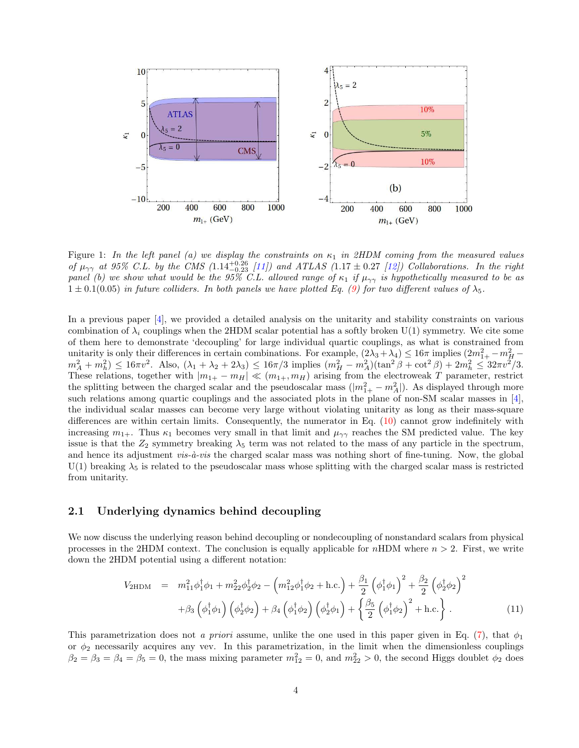

Figure 1: In the left panel (a) we display the constraints on  $\kappa_1$  in 2HDM coming from the measured values of  $\mu_{\gamma\gamma}$  at 95% C.L. by the CMS (1.14<sup>+0.26</sup> [11]) and ATLAS (1.17  $\pm$  0.27 [12]) Collaborations. In the right panel (b) we show what would be the 95% C.L. allowed range of  $\kappa_1$  if  $\mu_{\gamma\gamma}$  is hypothetically measured to be as  $1 \pm 0.1(0.05)$  in future colliders. In both panels we have plotted Eq. (9) for two different values of  $\lambda_5$ .

In a previous paper [4], we provided a detailed analysis on the unitarity and stability constraints on various combination of  $\lambda_i$  couplings when the 2HDM scalar potential has a softly broken U(1) symmetry. We cite some of them here to demonstrate 'decoupling' for large individual quartic couplings, as what is constrained from unitarity is only their differences in certain combinations. For example,  $(2\lambda_3 + \lambda_4) \leq 16\pi$  implies  $(2m_{1+}^2 - m_H^2 - m_A^2) \leq 16\pi v^2$ . Also,  $(\lambda_1 + \lambda_2 + 2\lambda_3) \leq 16\pi/3$  implies  $(m_H^2 - m_A^2)(\tan^2 \beta + \cot^2 \beta) + 2m_h^2 \leq 3$ These relations, together with  $|m_{1+} - m_H| \ll (m_{1+}, m_H)$  arising from the electroweak T parameter, restrict the splitting between the charged scalar and the pseudoscalar mass  $(|m_{1+}^2 - m_A^2|)$ . As displayed through more such relations among quartic couplings and the associated plots in the plane of non-SM scalar masses in [4], the individual scalar masses can become very large without violating unitarity as long as their mass-square differences are within certain limits. Consequently, the numerator in Eq. (10) cannot grow indefinitely with increasing  $m_{1+}$ . Thus  $\kappa_1$  becomes very small in that limit and  $\mu_{\gamma\gamma}$  reaches the SM predicted value. The key issue is that the  $Z_2$  symmetry breaking  $\lambda_5$  term was not related to the mass of any particle in the spectrum, and hence its adjustment  $vis-\hat{a}-vis$  the charged scalar mass was nothing short of fine-tuning. Now, the global U(1) breaking  $\lambda_5$  is related to the pseudoscalar mass whose splitting with the charged scalar mass is restricted from unitarity.

### 2.1 Underlying dynamics behind decoupling

We now discuss the underlying reason behind decoupling or nondecoupling of nonstandard scalars from physical processes in the 2HDM context. The conclusion is equally applicable for nHDM where  $n > 2$ . First, we write down the 2HDM potential using a different notation:

$$
V_{2\text{HDM}} = m_{11}^2 \phi_1^{\dagger} \phi_1 + m_{22}^2 \phi_2^{\dagger} \phi_2 - \left(m_{12}^2 \phi_1^{\dagger} \phi_2 + \text{h.c.}\right) + \frac{\beta_1}{2} \left(\phi_1^{\dagger} \phi_1\right)^2 + \frac{\beta_2}{2} \left(\phi_2^{\dagger} \phi_2\right)^2 + \beta_3 \left(\phi_1^{\dagger} \phi_1\right) \left(\phi_2^{\dagger} \phi_2\right) + \beta_4 \left(\phi_1^{\dagger} \phi_2\right) \left(\phi_2^{\dagger} \phi_1\right) + \left\{\frac{\beta_5}{2} \left(\phi_1^{\dagger} \phi_2\right)^2 + \text{h.c.}\right\}.
$$
\n(11)

This parametrization does not a priori assume, unlike the one used in this paper given in Eq. (7), that  $\phi_1$ or  $\phi_2$  necessarily acquires any vev. In this parametrization, in the limit when the dimensionless couplings  $\beta_2 = \beta_3 = \beta_4 = \beta_5 = 0$ , the mass mixing parameter  $m_{12}^2 = 0$ , and  $m_{22}^2 > 0$ , the second Higgs doublet  $\phi_2$  does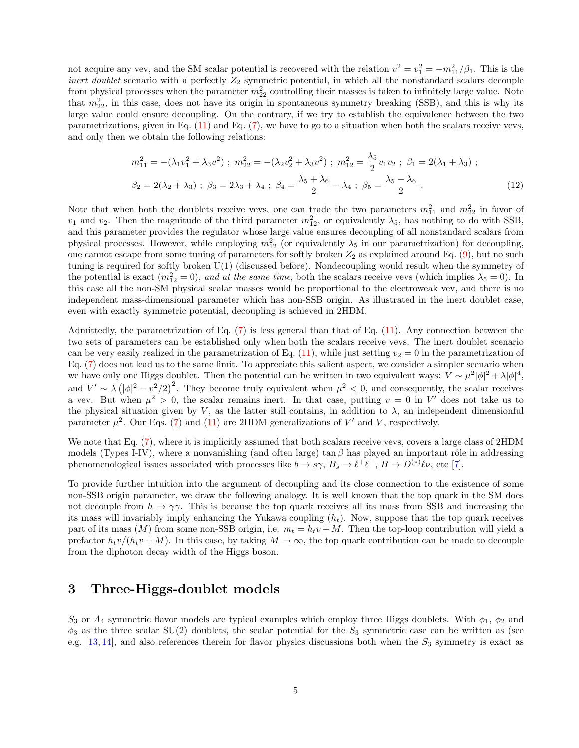not acquire any vev, and the SM scalar potential is recovered with the relation  $v^2 = v_1^2 = -m_{11}^2/\beta_1$ . This is the *inert doublet* scenario with a perfectly  $Z_2$  symmetric potential, in which all the nonstandard scalars decouple from physical processes when the parameter  $m_{22}^2$  controlling their masses is taken to infinitely large value. Note that  $m_{22}^2$ , in this case, does not have its origin in spontaneous symmetry breaking (SSB), and this is why its large value could ensure decoupling. On the contrary, if we try to establish the equivalence between the two parametrizations, given in Eq.  $(11)$  and Eq.  $(7)$ , we have to go to a situation when both the scalars receive vevs, and only then we obtain the following relations:

$$
m_{11}^{2} = -(\lambda_{1}v_{1}^{2} + \lambda_{3}v^{2}); \ m_{22}^{2} = -(\lambda_{2}v_{2}^{2} + \lambda_{3}v^{2}); \ m_{12}^{2} = \frac{\lambda_{5}}{2}v_{1}v_{2}; \ \beta_{1} = 2(\lambda_{1} + \lambda_{3});
$$
  

$$
\beta_{2} = 2(\lambda_{2} + \lambda_{3}); \ \beta_{3} = 2\lambda_{3} + \lambda_{4}; \ \beta_{4} = \frac{\lambda_{5} + \lambda_{6}}{2} - \lambda_{4}; \ \beta_{5} = \frac{\lambda_{5} - \lambda_{6}}{2}.
$$
 (12)

Note that when both the doublets receive vevs, one can trade the two parameters  $m_{11}^2$  and  $m_{22}^2$  in favor of  $v_1$  and  $v_2$ . Then the magnitude of the third parameter  $m_{12}^2$ , or equivalently  $\lambda_5$ , has nothing to do with SSB, and this parameter provides the regulator whose large value ensures decoupling of all nonstandard scalars from physical processes. However, while employing  $m_{12}^2$  (or equivalently  $\lambda_5$  in our parametrization) for decoupling, one cannot escape from some tuning of parameters for softly broken  $Z_2$  as explained around Eq. (9), but no such tuning is required for softly broken U(1) (discussed before). Nondecoupling would result when the symmetry of the potential is exact  $(m_{12}^2 = 0)$ , and at the same time, both the scalars receive vevs (which implies  $\lambda_5 = 0$ ). In this case all the non-SM physical scalar masses would be proportional to the electroweak vev, and there is no independent mass-dimensional parameter which has non-SSB origin. As illustrated in the inert doublet case, even with exactly symmetric potential, decoupling is achieved in 2HDM.

Admittedly, the parametrization of Eq. (7) is less general than that of Eq. (11). Any connection between the two sets of parameters can be established only when both the scalars receive vevs. The inert doublet scenario can be very easily realized in the parametrization of Eq.  $(11)$ , while just setting  $v_2 = 0$  in the parametrization of Eq. (7) does not lead us to the same limit. To appreciate this salient aspect, we consider a simpler scenario when we have only one Higgs doublet. Then the potential can be written in two equivalent ways:  $V \sim \mu^2 |\phi|^2 + \lambda |\phi|^4$ , and  $V' \sim \lambda (\vert \phi \vert^2 - v^2/2)^2$ . They become truly equivalent when  $\mu^2 < 0$ , and consequently, the scalar receives a vev. But when  $\mu^2 > 0$ , the scalar remains inert. In that case, putting  $v = 0$  in V' does not take us to the physical situation given by V, as the latter still contains, in addition to  $\lambda$ , an independent dimensionful parameter  $\mu^2$ . Our Eqs. (7) and (11) are 2HDM generalizations of V' and V, respectively.

We note that Eq.  $(7)$ , where it is implicitly assumed that both scalars receive vevs, covers a large class of 2HDM models (Types I-IV), where a nonvanishing (and often large) tan  $\beta$  has played an important rôle in addressing phenomenological issues associated with processes like  $b \to s\gamma$ ,  $B_s \to \ell^+ \ell^-$ ,  $B \to D^{(*)} \ell \nu$ , etc [7].

To provide further intuition into the argument of decoupling and its close connection to the existence of some non-SSB origin parameter, we draw the following analogy. It is well known that the top quark in the SM does not decouple from  $h \to \gamma\gamma$ . This is because the top quark receives all its mass from SSB and increasing the its mass will invariably imply enhancing the Yukawa coupling  $(h_t)$ . Now, suppose that the top quark receives part of its mass (M) from some non-SSB origin, i.e.  $m_t = h_t v + M$ . Then the top-loop contribution will yield a prefactor  $h_t v/(h_t v + M)$ . In this case, by taking  $M \to \infty$ , the top quark contribution can be made to decouple from the diphoton decay width of the Higgs boson.

## 3 Three-Higgs-doublet models

 $S_3$  or  $A_4$  symmetric flavor models are typical examples which employ three Higgs doublets. With  $\phi_1$ ,  $\phi_2$  and  $\phi_3$  as the three scalar SU(2) doublets, the scalar potential for the  $S_3$  symmetric case can be written as (see e.g.  $[13, 14]$ , and also references therein for flavor physics discussions both when the  $S_3$  symmetry is exact as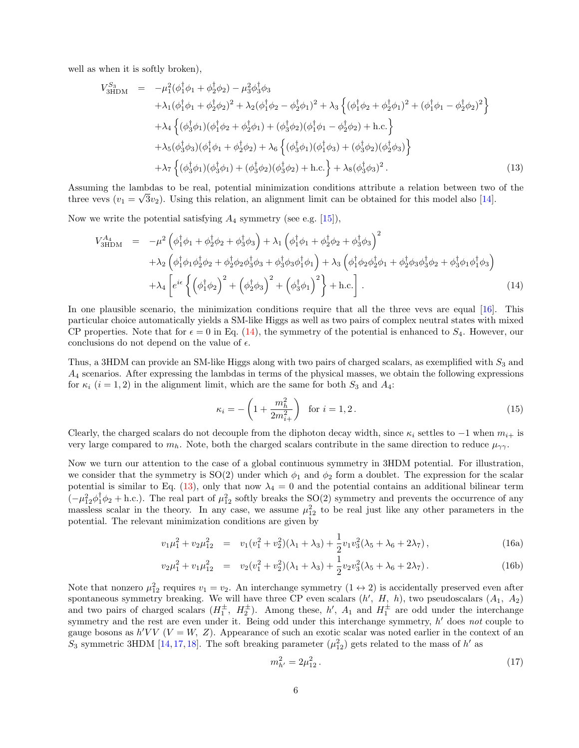well as when it is softly broken),

$$
V_{3HDM}^{S_3} = -\mu_1^2(\phi_1^{\dagger}\phi_1 + \phi_2^{\dagger}\phi_2) - \mu_3^2\phi_3^{\dagger}\phi_3 + \lambda_1(\phi_1^{\dagger}\phi_1 + \phi_2^{\dagger}\phi_2)^2 + \lambda_2(\phi_1^{\dagger}\phi_2 - \phi_2^{\dagger}\phi_1)^2 + \lambda_3\left\{(\phi_1^{\dagger}\phi_2 + \phi_2^{\dagger}\phi_1)^2 + (\phi_1^{\dagger}\phi_1 - \phi_2^{\dagger}\phi_2)^2\right\} + \lambda_4\left\{(\phi_3^{\dagger}\phi_1)(\phi_1^{\dagger}\phi_2 + \phi_2^{\dagger}\phi_1) + (\phi_3^{\dagger}\phi_2)(\phi_1^{\dagger}\phi_1 - \phi_2^{\dagger}\phi_2) + \text{h.c.}\right\} + \lambda_5(\phi_3^{\dagger}\phi_3)(\phi_1^{\dagger}\phi_1 + \phi_2^{\dagger}\phi_2) + \lambda_6\left\{(\phi_3^{\dagger}\phi_1)(\phi_1^{\dagger}\phi_3) + (\phi_3^{\dagger}\phi_2)(\phi_2^{\dagger}\phi_3)\right\} + \lambda_7\left\{(\phi_3^{\dagger}\phi_1)(\phi_3^{\dagger}\phi_1) + (\phi_3^{\dagger}\phi_2)(\phi_3^{\dagger}\phi_2) + \text{h.c.}\right\} + \lambda_8(\phi_3^{\dagger}\phi_3)^2.
$$
 (13)

Assuming the lambdas to be real, potential minimization conditions attribute a relation between two of the three vevs  $(v_1 = \sqrt{3}v_2)$ . Using this relation, an alignment limit can be obtained for this model also [14].

Now we write the potential satisfying  $A_4$  symmetry (see e.g. [15]),

$$
V_{3\text{HDM}}^{A_4} = -\mu^2 \left( \phi_1^{\dagger} \phi_1 + \phi_2^{\dagger} \phi_2 + \phi_3^{\dagger} \phi_3 \right) + \lambda_1 \left( \phi_1^{\dagger} \phi_1 + \phi_2^{\dagger} \phi_2 + \phi_3^{\dagger} \phi_3 \right)^2 + \lambda_2 \left( \phi_1^{\dagger} \phi_1 \phi_2^{\dagger} \phi_2 + \phi_2^{\dagger} \phi_2 \phi_3^{\dagger} \phi_3 + \phi_3^{\dagger} \phi_3 \phi_1^{\dagger} \phi_1 \right) + \lambda_3 \left( \phi_1^{\dagger} \phi_2 \phi_2^{\dagger} \phi_1 + \phi_2^{\dagger} \phi_3 \phi_3^{\dagger} \phi_2 + \phi_3^{\dagger} \phi_1 \phi_1^{\dagger} \phi_3 \right) + \lambda_4 \left[ e^{i\epsilon} \left\{ \left( \phi_1^{\dagger} \phi_2 \right)^2 + \left( \phi_2^{\dagger} \phi_3 \right)^2 + \left( \phi_3^{\dagger} \phi_1 \right)^2 \right\} + \text{h.c.} \right].
$$
 (14)

In one plausible scenario, the minimization conditions require that all the three vevs are equal [16]. This particular choice automatically yields a SM-like Higgs as well as two pairs of complex neutral states with mixed CP properties. Note that for  $\epsilon = 0$  in Eq. (14), the symmetry of the potential is enhanced to  $S_4$ . However, our conclusions do not depend on the value of  $\epsilon$ .

Thus, a 3HDM can provide an SM-like Higgs along with two pairs of charged scalars, as exemplified with  $S_3$  and A<sup>4</sup> scenarios. After expressing the lambdas in terms of the physical masses, we obtain the following expressions for  $\kappa_i$   $(i = 1, 2)$  in the alignment limit, which are the same for both  $S_3$  and  $A_4$ :

$$
\kappa_i = -\left(1 + \frac{m_h^2}{2m_{i+}^2}\right) \text{ for } i = 1, 2. \tag{15}
$$

Clearly, the charged scalars do not decouple from the diphoton decay width, since  $\kappa_i$  settles to  $-1$  when  $m_{i+}$  is very large compared to  $m_h$ . Note, both the charged scalars contribute in the same direction to reduce  $\mu_{\gamma\gamma}$ .

Now we turn our attention to the case of a global continuous symmetry in 3HDM potential. For illustration, we consider that the symmetry is  $SO(2)$  under which  $\phi_1$  and  $\phi_2$  form a doublet. The expression for the scalar potential is similar to Eq. (13), only that now  $\lambda_4 = 0$  and the potential contains an additional bilinear term  $(-\mu_{12}^2 \phi_1^{\dagger} \phi_2 + h.c.)$ . The real part of  $\mu_{12}^2$  softly breaks the SO(2) symmetry and prevents the occurrence of any massless scalar in the theory. In any case, we assume  $\mu_{12}^2$  to be real just like any other parameters in the potential. The relevant minimization conditions are given by

$$
v_1\mu_1^2 + v_2\mu_{12}^2 = v_1(v_1^2 + v_2^2)(\lambda_1 + \lambda_3) + \frac{1}{2}v_1v_3^2(\lambda_5 + \lambda_6 + 2\lambda_7), \tag{16a}
$$

$$
v_2\mu_1^2 + v_1\mu_{12}^2 = v_2(v_1^2 + v_2^2)(\lambda_1 + \lambda_3) + \frac{1}{2}v_2v_3^2(\lambda_5 + \lambda_6 + 2\lambda_7).
$$
 (16b)

Note that nonzero  $\mu_{12}^2$  requires  $v_1 = v_2$ . An interchange symmetry  $(1 \leftrightarrow 2)$  is accidentally preserved even after spontaneous symmetry breaking. We will have three CP even scalars  $(h', H, h)$ , two pseudoscalars  $(A_1, A_2)$ and two pairs of charged scalars  $(H_1^{\pm}, H_2^{\pm})$ . Among these, h',  $A_1$  and  $H_1^{\pm}$  are odd under the interchange symmetry and the rest are even under it. Being odd under this interchange symmetry, h' does not couple to gauge bosons as  $h'VV$  ( $V = W$ ,  $Z$ ). Appearance of such an exotic scalar was noted earlier in the context of an S<sub>3</sub> symmetric 3HDM [14, 17, 18]. The soft breaking parameter  $(\mu_{12}^2)$  gets related to the mass of h' as

$$
m_{h'}^2 = 2\mu_{12}^2 \,. \tag{17}
$$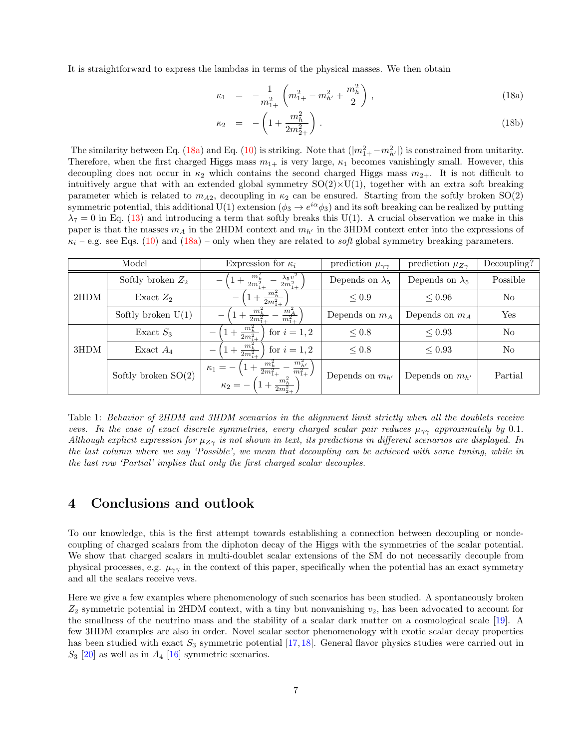It is straightforward to express the lambdas in terms of the physical masses. We then obtain

$$
\kappa_1 = -\frac{1}{m_{1+}^2} \left( m_{1+}^2 - m_{h'}^2 + \frac{m_h^2}{2} \right), \qquad (18a)
$$

$$
\kappa_2 = -\left(1 + \frac{m_h^2}{2m_{2+}^2}\right). \tag{18b}
$$

The similarity between Eq. (18a) and Eq. (10) is striking. Note that  $(|m_{1+}^2 - m_{h'}^2|)$  is constrained from unitarity. Therefore, when the first charged Higgs mass  $m_{1+}$  is very large,  $\kappa_1$  becomes vanishingly small. However, this decoupling does not occur in  $\kappa_2$  which contains the second charged Higgs mass  $m_{2+}$ . It is not difficult to intuitively argue that with an extended global symmetry  $SO(2)\times U(1)$ , together with an extra soft breaking parameter which is related to  $m_{A2}$ , decoupling in  $\kappa_2$  can be ensured. Starting from the softly broken SO(2) symmetric potential, this additional U(1) extension  $(\phi_3 \to e^{i\alpha}\phi_3)$  and its soft breaking can be realized by putting  $\lambda_7 = 0$  in Eq. (13) and introducing a term that softly breaks this U(1). A crucial observation we make in this paper is that the masses  $m_A$  in the 2HDM context and  $m_{h'}$  in the 3HDM context enter into the expressions of  $\kappa_i$  – e.g. see Eqs. (10) and (18a) – only when they are related to *soft* global symmetry breaking parameters.

| Model |                       | Expression for $\kappa_i$                                                                                                    | prediction $\mu_{\gamma\gamma}$ | prediction $\mu_{Z\gamma}$ | Decoupling? |
|-------|-----------------------|------------------------------------------------------------------------------------------------------------------------------|---------------------------------|----------------------------|-------------|
| 2HDM  | Softly broken $Z_2$   | $\frac{\lambda_5 v^2}{2m_{1+}^2}$<br>$2m_1^2$                                                                                | Depends on $\lambda_5$          | Depends on $\lambda_5$     | Possible    |
|       | Exact $Z_2$           | $+\frac{m_h^2}{2m_{1+}^2}$                                                                                                   | $\leq 0.9$                      | $\leq 0.96$                | No          |
|       | Softly broken $U(1)$  | $m_A^2$<br>$\frac{m_h^2}{2m_{1+}^2}$<br>$\overline{m_{1+}^2}$                                                                | Depends on $m_A$                | Depends on $m_A$           | Yes         |
| 3HDM  | Exact $S_3$           | $+\frac{m_h^2}{2m_{\perp}^2}$<br>for $i=1,2$                                                                                 | $\leq 0.8$                      | $\leq 0.93$                | No          |
|       | Exact $A_4$           | $+\frac{m_h^2}{2m_{i+1}^2}$<br>for $i=1,2$                                                                                   | $\leq 0.8$                      | $\leq 0.93$                | No          |
|       | Softly broken $SO(2)$ | $m_{h}$<br>$\frac{m_h^2}{2m_{1+}^2}$<br>$\kappa_1 =$<br>$\frac{1}{m_{1+}^2}$<br>$+\frac{m_h^2}{2m_{2+}^2}$<br>$\kappa_2 = -$ | Depends on $m_{h'}$             | Depends on $m_{h'}$        | Partial     |

Table 1: Behavior of 2HDM and 3HDM scenarios in the alignment limit strictly when all the doublets receive vevs. In the case of exact discrete symmetries, every charged scalar pair reduces  $\mu_{\gamma\gamma}$  approximately by 0.1. Although explicit expression for  $\mu_{Z\gamma}$  is not shown in text, its predictions in different scenarios are displayed. In the last column where we say 'Possible', we mean that decoupling can be achieved with some tuning, while in the last row 'Partial' implies that only the first charged scalar decouples.

## 4 Conclusions and outlook

To our knowledge, this is the first attempt towards establishing a connection between decoupling or nondecoupling of charged scalars from the diphoton decay of the Higgs with the symmetries of the scalar potential. We show that charged scalars in multi-doublet scalar extensions of the SM do not necessarily decouple from physical processes, e.g.  $\mu_{\gamma\gamma}$  in the context of this paper, specifically when the potential has an exact symmetry and all the scalars receive vevs.

Here we give a few examples where phenomenology of such scenarios has been studied. A spontaneously broken  $Z_2$  symmetric potential in 2HDM context, with a tiny but nonvanishing  $v_2$ , has been advocated to account for the smallness of the neutrino mass and the stability of a scalar dark matter on a cosmological scale [19]. A few 3HDM examples are also in order. Novel scalar sector phenomenology with exotic scalar decay properties has been studied with exact  $S_3$  symmetric potential [17, 18]. General flavor physics studies were carried out in  $S_3$  [20] as well as in  $A_4$  [16] symmetric scenarios.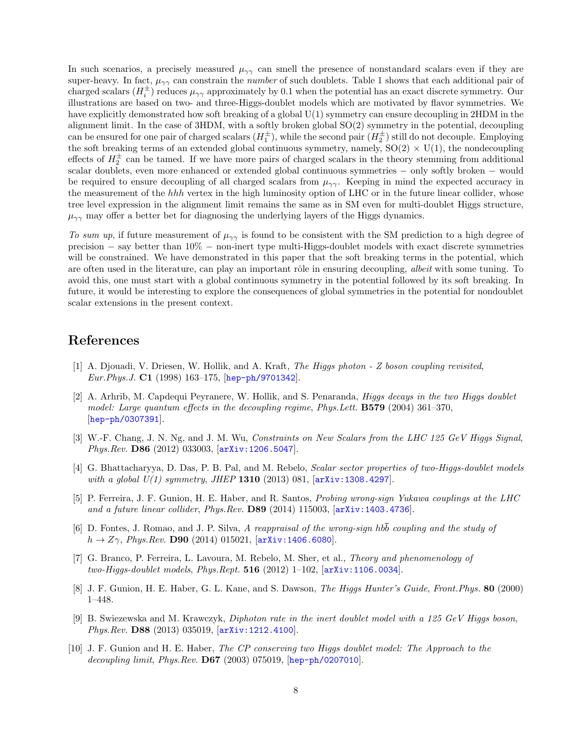In such scenarios, a precisely measured  $\mu_{\gamma\gamma}$  can smell the presence of nonstandard scalars even if they are super-heavy. In fact,  $\mu_{\gamma\gamma}$  can constrain the *number* of such doublets. Table 1 shows that each additional pair of charged scalars  $(H_i^{\pm})$  reduces  $\mu_{\gamma\gamma}$  approximately by 0.1 when the potential has an exact discrete symmetry. Our illustrations are based on two- and three-Higgs-doublet models which are motivated by flavor symmetries. We have explicitly demonstrated how soft breaking of a global  $U(1)$  symmetry can ensure decoupling in 2HDM in the alignment limit. In the case of  $3HDM$ , with a softly broken global  $SO(2)$  symmetry in the potential, decoupling can be ensured for one pair of charged scalars  $(H_1^{\pm})$ , while the second pair  $(H_2^{\pm})$  still do not decouple. Employing the soft breaking terms of an extended global continuous symmetry, namely,  $SO(2) \times U(1)$ , the nondecoupling effects of  $H_2^{\pm}$  can be tamed. If we have more pairs of charged scalars in the theory stemming from additional scalar doublets, even more enhanced or extended global continuous symmetries – only softly broken – would be required to ensure decoupling of all charged scalars from  $\mu_{\gamma\gamma}$ . Keeping in mind the expected accuracy in the measurement of the hhh vertex in the high luminosity option of LHC or in the future linear collider, whose tree level expression in the alignment limit remains the same as in SM even for multi-doublet Higgs structure,  $\mu_{\gamma\gamma}$  may offer a better bet for diagnosing the underlying layers of the Higgs dynamics.

To sum up, if future measurement of  $\mu_{\gamma\gamma}$  is found to be consistent with the SM prediction to a high degree of precision − say better than 10% − non-inert type multi-Higgs-doublet models with exact discrete symmetries will be constrained. We have demonstrated in this paper that the soft breaking terms in the potential, which are often used in the literature, can play an important rôle in ensuring decoupling, albeit with some tuning. To avoid this, one must start with a global continuous symmetry in the potential followed by its soft breaking. In future, it would be interesting to explore the consequences of global symmetries in the potential for nondoublet scalar extensions in the present context.

### References

- [1] A. Djouadi, V. Driesen, W. Hollik, and A. Kraft, The Higgs photon Z boson coupling revisited, Eur.Phys.J. C1 (1998) 163–175, [hep-ph/9701342].
- [2] A. Arhrib, M. Capdequi Peyranere, W. Hollik, and S. Penaranda, Higgs decays in the two Higgs doublet model: Large quantum effects in the decoupling regime, Phys. Lett. **B579** (2004) 361–370, [hep-ph/0307391].
- [3] W.-F. Chang, J. N. Ng, and J. M. Wu, Constraints on New Scalars from the LHC 125 GeV Higgs Signal, Phys.Rev. D86 (2012) 033003, [arXiv:1206.5047].
- [4] G. Bhattacharyya, D. Das, P. B. Pal, and M. Rebelo, Scalar sector properties of two-Higgs-doublet models with a global  $U(1)$  symmetry, JHEP 1310 (2013) 081,  $[arXiv:1308.4297]$ .
- [5] P. Ferreira, J. F. Gunion, H. E. Haber, and R. Santos, Probing wrong-sign Yukawa couplings at the LHC and a future linear collider, Phys.Rev. D89 (2014) 115003, [arXiv:1403.4736].
- [6] D. Fontes, J. Romao, and J. P. Silva, A reappraisal of the wrong-sign hbb coupling and the study of  $h \to Z\gamma$ , *Phys.Rev.* **D90** (2014) 015021, [arXiv:1406.6080].
- [7] G. Branco, P. Ferreira, L. Lavoura, M. Rebelo, M. Sher, et al., Theory and phenomenology of two-Higgs-doublet models,  $Phys. Rept. 516 (2012) 1–102$ ,  $[arXiv:1106.0034]$ .
- [8] J. F. Gunion, H. E. Haber, G. L. Kane, and S. Dawson, The Higgs Hunter's Guide, Front.Phys. 80 (2000) 1–448.
- [9] B. Swiezewska and M. Krawczyk, Diphoton rate in the inert doublet model with a 125 GeV Higgs boson, Phys.Rev. D88 (2013) 035019, [arXiv:1212.4100].
- [10] J. F. Gunion and H. E. Haber, The CP conserving two Higgs doublet model: The Approach to the decoupling limit, Phys.Rev. D67 (2003) 075019, [hep-ph/0207010].